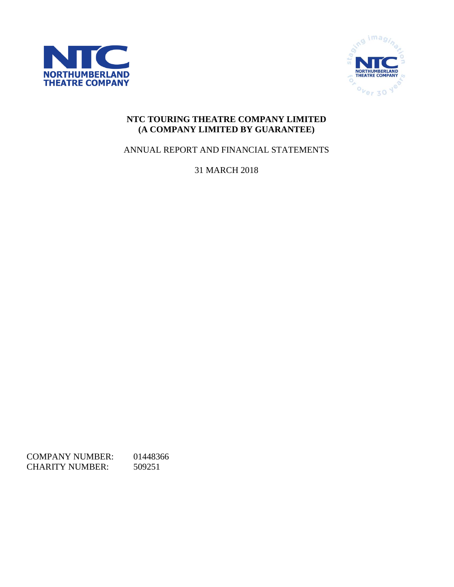



# **NTC TOURING THEATRE COMPANY LIMITED (A COMPANY LIMITED BY GUARANTEE)**

ANNUAL REPORT AND FINANCIAL STATEMENTS

31 MARCH 2018

COMPANY NUMBER: 01448366 CHARITY NUMBER: 509251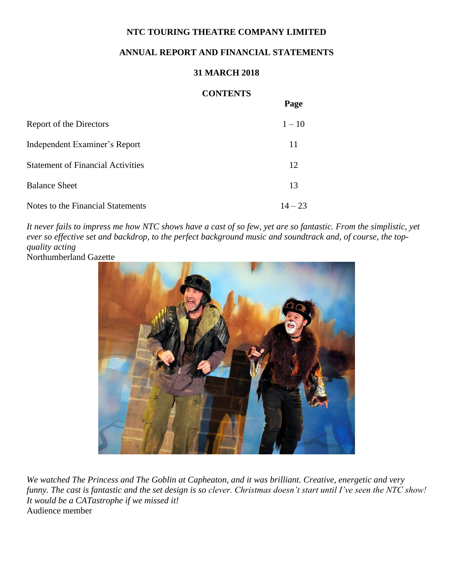## **ANNUAL REPORT AND FINANCIAL STATEMENTS**

## **31 MARCH 2018**

## **CONTENTS**

**Page**

|                                          | - -- -    |
|------------------------------------------|-----------|
| Report of the Directors                  | $1 - 10$  |
| Independent Examiner's Report            | 11        |
| <b>Statement of Financial Activities</b> | 12        |
| <b>Balance Sheet</b>                     | 13        |
| Notes to the Financial Statements        | $14 - 23$ |

*It never fails to impress me how NTC shows have a cast of so few, yet are so fantastic. From the simplistic, yet ever so effective set and backdrop, to the perfect background music and soundtrack and, of course, the topquality acting* Northumberland Gazette



*We watched The Princess and The Goblin at Capheaton, and it was brilliant. Creative, energetic and very funny. The cast is fantastic and the set design is so clever. Christmas doesn't start until I've seen the NTC show! It would be a CATastrophe if we missed it!* Audience member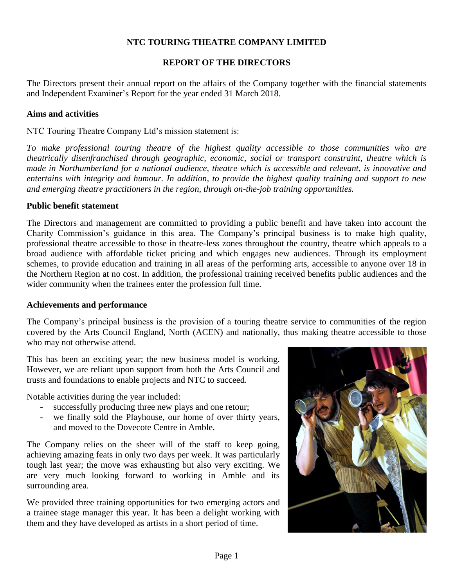## **REPORT OF THE DIRECTORS**

The Directors present their annual report on the affairs of the Company together with the financial statements and Independent Examiner's Report for the year ended 31 March 2018.

### **Aims and activities**

NTC Touring Theatre Company Ltd's mission statement is:

*To make professional touring theatre of the highest quality accessible to those communities who are theatrically disenfranchised through geographic, economic, social or transport constraint, theatre which is made in Northumberland for a national audience, theatre which is accessible and relevant, is innovative and entertains with integrity and humour. In addition, to provide the highest quality training and support to new and emerging theatre practitioners in the region, through on-the-job training opportunities.* 

### **Public benefit statement**

The Directors and management are committed to providing a public benefit and have taken into account the Charity Commission's guidance in this area. The Company's principal business is to make high quality, professional theatre accessible to those in theatre-less zones throughout the country, theatre which appeals to a broad audience with affordable ticket pricing and which engages new audiences. Through its employment schemes, to provide education and training in all areas of the performing arts, accessible to anyone over 18 in the Northern Region at no cost. In addition, the professional training received benefits public audiences and the wider community when the trainees enter the profession full time.

### **Achievements and performance**

The Company's principal business is the provision of a touring theatre service to communities of the region covered by the Arts Council England, North (ACEN) and nationally, thus making theatre accessible to those who may not otherwise attend.

This has been an exciting year; the new business model is working. However, we are reliant upon support from both the Arts Council and trusts and foundations to enable projects and NTC to succeed.

Notable activities during the year included:

- successfully producing three new plays and one retour;
- we finally sold the Playhouse, our home of over thirty years, and moved to the Dovecote Centre in Amble.

The Company relies on the sheer will of the staff to keep going, achieving amazing feats in only two days per week. It was particularly tough last year; the move was exhausting but also very exciting. We are very much looking forward to working in Amble and its surrounding area.

We provided three training opportunities for two emerging actors and a trainee stage manager this year. It has been a delight working with them and they have developed as artists in a short period of time.

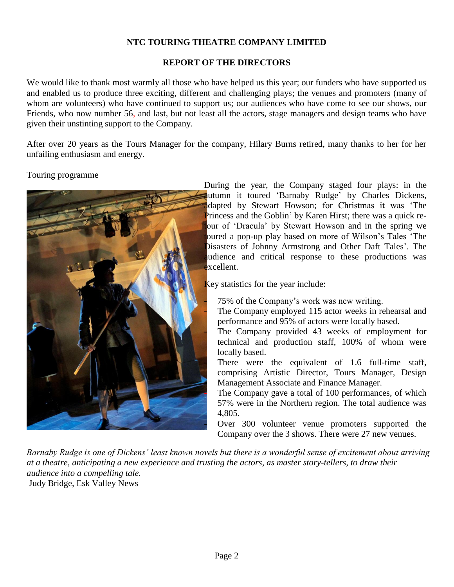## **REPORT OF THE DIRECTORS**

We would like to thank most warmly all those who have helped us this year; our funders who have supported us and enabled us to produce three exciting, different and challenging plays; the venues and promoters (many of whom are volunteers) who have continued to support us; our audiences who have come to see our shows, our Friends, who now number 56, and last, but not least all the actors, stage managers and design teams who have given their unstinting support to the Company.

After over 20 years as the Tours Manager for the company, Hilary Burns retired, many thanks to her for her unfailing enthusiasm and energy.

## Touring programme



During the year, the Company staged four plays: in the autumn it toured 'Barnaby Rudge' by Charles Dickens, dapted by Stewart Howson; for Christmas it was 'The Princess and the Goblin' by Karen Hirst; there was a quick reour of 'Dracula' by Stewart Howson and in the spring we oured a pop-up play based on more of Wilson's Tales 'The Disasters of Johnny Armstrong and Other Daft Tales'. The udience and critical response to these productions was  $x$ cellent.

Key statistics for the year include:

75% of the Company's work was new writing.

The Company employed 115 actor weeks in rehearsal and performance and 95% of actors were locally based.

The Company provided 43 weeks of employment for technical and production staff, 100% of whom were locally based.

There were the equivalent of 1.6 full-time staff, comprising Artistic Director, Tours Manager, Design Management Associate and Finance Manager.

The Company gave a total of 100 performances, of which 57% were in the Northern region. The total audience was 4,805.

Over 300 volunteer venue promoters supported the Company over the 3 shows. There were 27 new venues.

*Barnaby Rudge is one of Dickens' least known novels but there is a wonderful sense of excitement about arriving at a theatre, anticipating a new experience and trusting the actors, as master story-tellers, to draw their audience into a compelling tale.* Judy Bridge, Esk Valley News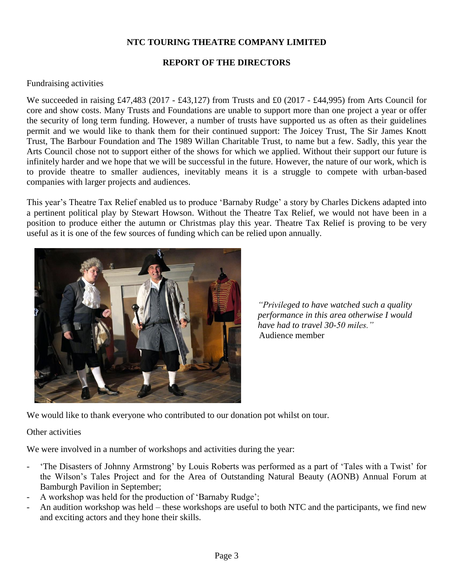## **REPORT OF THE DIRECTORS**

### Fundraising activities

We succeeded in raising £47,483 (2017 - £43,127) from Trusts and £0 (2017 - £44,995) from Arts Council for core and show costs. Many Trusts and Foundations are unable to support more than one project a year or offer the security of long term funding. However, a number of trusts have supported us as often as their guidelines permit and we would like to thank them for their continued support: The Joicey Trust, The Sir James Knott Trust, The Barbour Foundation and The 1989 Willan Charitable Trust, to name but a few. Sadly, this year the Arts Council chose not to support either of the shows for which we applied. Without their support our future is infinitely harder and we hope that we will be successful in the future. However, the nature of our work, which is to provide theatre to smaller audiences, inevitably means it is a struggle to compete with urban-based companies with larger projects and audiences.

This year's Theatre Tax Relief enabled us to produce 'Barnaby Rudge' a story by Charles Dickens adapted into a pertinent political play by Stewart Howson. Without the Theatre Tax Relief, we would not have been in a position to produce either the autumn or Christmas play this year. Theatre Tax Relief is proving to be very useful as it is one of the few sources of funding which can be relied upon annually.



*"Privileged to have watched such a quality performance in this area otherwise I would have had to travel 30-50 miles."* Audience member

We would like to thank everyone who contributed to our donation pot whilst on tour.

Other activities

We were involved in a number of workshops and activities during the year:

- 'The Disasters of Johnny Armstrong' by Louis Roberts was performed as a part of 'Tales with a Twist' for the Wilson's Tales Project and for the Area of Outstanding Natural Beauty (AONB) Annual Forum at Bamburgh Pavilion in September;
- A workshop was held for the production of 'Barnaby Rudge';
- An audition workshop was held these workshops are useful to both NTC and the participants, we find new and exciting actors and they hone their skills.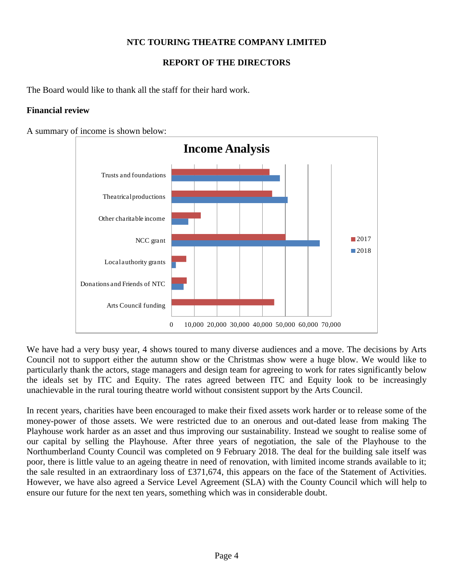# **REPORT OF THE DIRECTORS**

The Board would like to thank all the staff for their hard work.

### **Financial review**

A summary of income is shown below:



We have had a very busy year, 4 shows toured to many diverse audiences and a move. The decisions by Arts Council not to support either the autumn show or the Christmas show were a huge blow. We would like to particularly thank the actors, stage managers and design team for agreeing to work for rates significantly below the ideals set by ITC and Equity. The rates agreed between ITC and Equity look to be increasingly unachievable in the rural touring theatre world without consistent support by the Arts Council.

In recent years, charities have been encouraged to make their fixed assets work harder or to release some of the money-power of those assets. We were restricted due to an onerous and out-dated lease from making The Playhouse work harder as an asset and thus improving our sustainability. Instead we sought to realise some of our capital by selling the Playhouse. After three years of negotiation, the sale of the Playhouse to the Northumberland County Council was completed on 9 February 2018. The deal for the building sale itself was poor, there is little value to an ageing theatre in need of renovation, with limited income strands available to it; the sale resulted in an extraordinary loss of £371,674, this appears on the face of the Statement of Activities. However, we have also agreed a Service Level Agreement (SLA) with the County Council which will help to ensure our future for the next ten years, something which was in considerable doubt.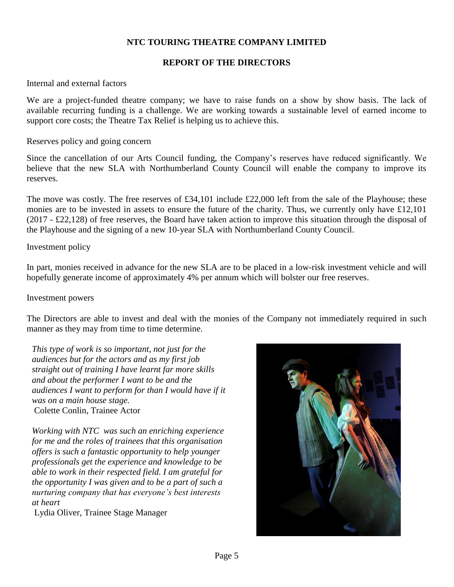### **REPORT OF THE DIRECTORS**

### Internal and external factors

We are a project-funded theatre company; we have to raise funds on a show by show basis. The lack of available recurring funding is a challenge. We are working towards a sustainable level of earned income to support core costs; the Theatre Tax Relief is helping us to achieve this.

#### Reserves policy and going concern

Since the cancellation of our Arts Council funding, the Company's reserves have reduced significantly. We believe that the new SLA with Northumberland County Council will enable the company to improve its reserves.

The move was costly. The free reserves of £34,101 include £22,000 left from the sale of the Playhouse; these monies are to be invested in assets to ensure the future of the charity. Thus, we currently only have £12,101 (2017 - £22,128) of free reserves, the Board have taken action to improve this situation through the disposal of the Playhouse and the signing of a new 10-year SLA with Northumberland County Council.

#### Investment policy

In part, monies received in advance for the new SLA are to be placed in a low-risk investment vehicle and will hopefully generate income of approximately 4% per annum which will bolster our free reserves.

#### Investment powers

The Directors are able to invest and deal with the monies of the Company not immediately required in such manner as they may from time to time determine.

*This type of work is so important, not just for the audiences but for the actors and as my first job straight out of training I have learnt far more skills and about the performer I want to be and the audiences I want to perform for than I would have if it was on a main house stage.* Colette Conlin, Trainee Actor

*Working with NTC was such an enriching experience for me and the roles of trainees that this organisation offers is such a fantastic opportunity to help younger professionals get the experience and knowledge to be able to work in their respected field. I am grateful for the opportunity I was given and to be a part of such a nurturing company that has everyone's best interests at heart*

Lydia Oliver, Trainee Stage Manager

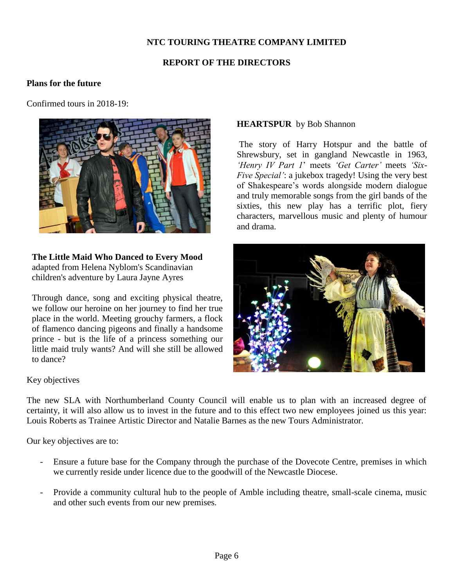## **REPORT OF THE DIRECTORS**

### **Plans for the future**

Confirmed tours in 2018-19:



**The Little Maid Who Danced to Every Mood** adapted from Helena Nyblom's Scandinavian children's adventure by Laura Jayne Ayres

Through dance, song and exciting physical theatre, we follow our heroine on her journey to find her true place in the world. Meeting grouchy farmers, a flock of flamenco dancing pigeons and finally a handsome prince - but is the life of a princess something our little maid truly wants? And will she still be allowed to dance?

### Key objectives

The new SLA with Northumberland County Council will enable us to plan with an increased degree of certainty, it will also allow us to invest in the future and to this effect two new employees joined us this year: Louis Roberts as Trainee Artistic Director and Natalie Barnes as the new Tours Administrator.

Our key objectives are to:

- Ensure a future base for the Company through the purchase of the Dovecote Centre, premises in which we currently reside under licence due to the goodwill of the Newcastle Diocese.
- Provide a community cultural hub to the people of Amble including theatre, small-scale cinema, music and other such events from our new premises.

### **HEARTSPUR** by Bob Shannon

The story of Harry Hotspur and the battle of Shrewsbury, set in gangland Newcastle in 1963, *'Henry IV Part 1*' meets *'Get Carter'* meets *'Six-Five Special'*: a jukebox tragedy! Using the very best of Shakespeare's words alongside modern dialogue and truly memorable songs from the girl bands of the sixties, this new play has a terrific plot, fiery characters, marvellous music and plenty of humour and drama.

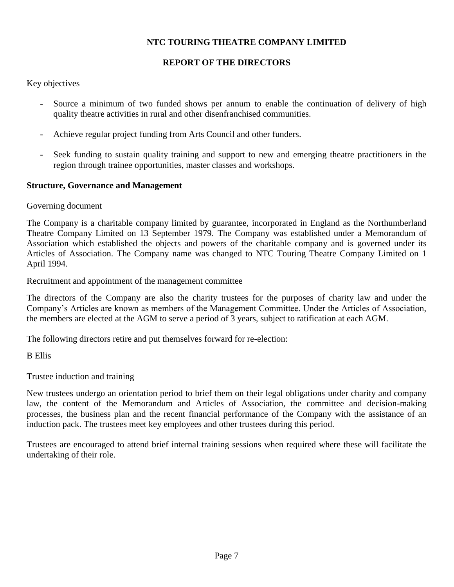## **REPORT OF THE DIRECTORS**

Key objectives

- Source a minimum of two funded shows per annum to enable the continuation of delivery of high quality theatre activities in rural and other disenfranchised communities.
- Achieve regular project funding from Arts Council and other funders.
- Seek funding to sustain quality training and support to new and emerging theatre practitioners in the region through trainee opportunities, master classes and workshops*.*

## **Structure, Governance and Management**

Governing document

The Company is a charitable company limited by guarantee, incorporated in England as the Northumberland Theatre Company Limited on 13 September 1979. The Company was established under a Memorandum of Association which established the objects and powers of the charitable company and is governed under its Articles of Association. The Company name was changed to NTC Touring Theatre Company Limited on 1 April 1994.

Recruitment and appointment of the management committee

The directors of the Company are also the charity trustees for the purposes of charity law and under the Company's Articles are known as members of the Management Committee. Under the Articles of Association, the members are elected at the AGM to serve a period of 3 years, subject to ratification at each AGM.

The following directors retire and put themselves forward for re-election:

B Ellis

Trustee induction and training

New trustees undergo an orientation period to brief them on their legal obligations under charity and company law, the content of the Memorandum and Articles of Association, the committee and decision-making processes, the business plan and the recent financial performance of the Company with the assistance of an induction pack. The trustees meet key employees and other trustees during this period.

Trustees are encouraged to attend brief internal training sessions when required where these will facilitate the undertaking of their role.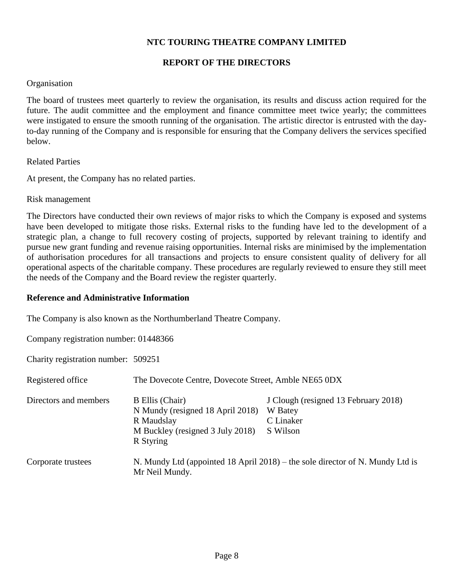### **REPORT OF THE DIRECTORS**

### **Organisation**

The board of trustees meet quarterly to review the organisation, its results and discuss action required for the future. The audit committee and the employment and finance committee meet twice yearly; the committees were instigated to ensure the smooth running of the organisation. The artistic director is entrusted with the dayto-day running of the Company and is responsible for ensuring that the Company delivers the services specified below.

Related Parties

At present, the Company has no related parties.

Risk management

The Directors have conducted their own reviews of major risks to which the Company is exposed and systems have been developed to mitigate those risks. External risks to the funding have led to the development of a strategic plan, a change to full recovery costing of projects, supported by relevant training to identify and pursue new grant funding and revenue raising opportunities. Internal risks are minimised by the implementation of authorisation procedures for all transactions and projects to ensure consistent quality of delivery for all operational aspects of the charitable company. These procedures are regularly reviewed to ensure they still meet the needs of the Company and the Board review the register quarterly.

### **Reference and Administrative Information**

The Company is also known as the Northumberland Theatre Company.

Company registration number: 01448366

Charity registration number: 509251

| Registered office     | The Dovecote Centre, Dovecote Street, Amble NE65 0DX                                                                      |                                                                               |  |  |  |
|-----------------------|---------------------------------------------------------------------------------------------------------------------------|-------------------------------------------------------------------------------|--|--|--|
| Directors and members | <b>B</b> Ellis (Chair)<br>N Mundy (resigned 18 April 2018)<br>R Maudslay<br>M Buckley (resigned 3 July 2018)<br>R Styring | J Clough (resigned 13 February 2018)<br>W Batey<br>C Linaker<br>S Wilson      |  |  |  |
| Corporate trustees    | Mr Neil Mundy.                                                                                                            | N. Mundy Ltd (appointed 18 April 2018) – the sole director of N. Mundy Ltd is |  |  |  |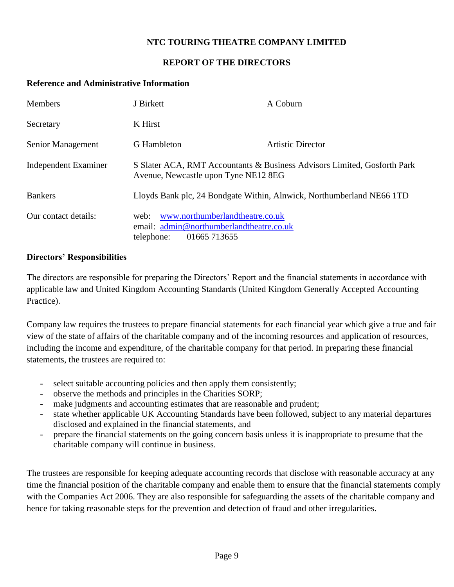## **REPORT OF THE DIRECTORS**

### **Reference and Administrative Information**

| <b>Members</b>              | J Birkett                                                                                                         | A Coburn                                                                 |
|-----------------------------|-------------------------------------------------------------------------------------------------------------------|--------------------------------------------------------------------------|
| Secretary                   | K Hirst                                                                                                           |                                                                          |
| Senior Management           | <b>G</b> Hambleton                                                                                                | Artistic Director                                                        |
| <b>Independent Examiner</b> | Avenue, Newcastle upon Tyne NE12 8EG                                                                              | S Slater ACA, RMT Accountants & Business Advisors Limited, Gosforth Park |
| <b>Bankers</b>              |                                                                                                                   | Lloyds Bank plc, 24 Bondgate Within, Alnwick, Northumberland NE66 1TD    |
| Our contact details:        | www.northumberlandtheatre.co.uk<br>web:<br>email: admin@northumberlandtheatre.co.uk<br>01665 713655<br>telephone: |                                                                          |

## **Directors' Responsibilities**

The directors are responsible for preparing the Directors' Report and the financial statements in accordance with applicable law and United Kingdom Accounting Standards (United Kingdom Generally Accepted Accounting Practice).

Company law requires the trustees to prepare financial statements for each financial year which give a true and fair view of the state of affairs of the charitable company and of the incoming resources and application of resources, including the income and expenditure, of the charitable company for that period. In preparing these financial statements, the trustees are required to:

- select suitable accounting policies and then apply them consistently;
- observe the methods and principles in the Charities SORP;
- make judgments and accounting estimates that are reasonable and prudent;
- state whether applicable UK Accounting Standards have been followed, subject to any material departures disclosed and explained in the financial statements, and
- prepare the financial statements on the going concern basis unless it is inappropriate to presume that the charitable company will continue in business.

The trustees are responsible for keeping adequate accounting records that disclose with reasonable accuracy at any time the financial position of the charitable company and enable them to ensure that the financial statements comply with the Companies Act 2006. They are also responsible for safeguarding the assets of the charitable company and hence for taking reasonable steps for the prevention and detection of fraud and other irregularities.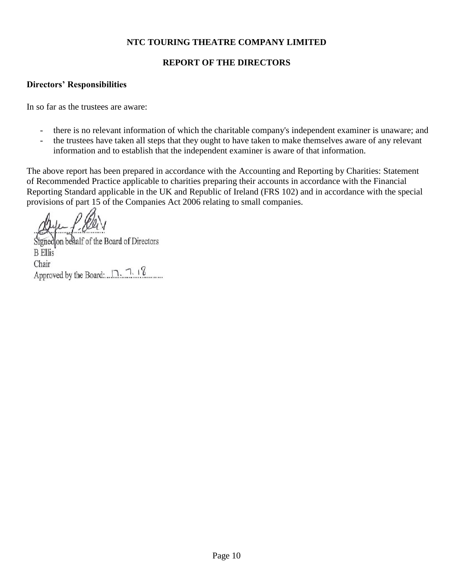## **REPORT OF THE DIRECTORS**

## **Directors' Responsibilities**

In so far as the trustees are aware:

- there is no relevant information of which the charitable company's independent examiner is unaware; and
- the trustees have taken all steps that they ought to have taken to make themselves aware of any relevant information and to establish that the independent examiner is aware of that information.

The above report has been prepared in accordance with the Accounting and Reporting by Charities: Statement of Recommended Practice applicable to charities preparing their accounts in accordance with the Financial Reporting Standard applicable in the UK and Republic of Ireland (FRS 102) and in accordance with the special provisions of part 15 of the Companies Act 2006 relating to small companies.

Signed on behalf of the Board of Directors **B** Ellis Chair Approved by the Board: 7. 7. 18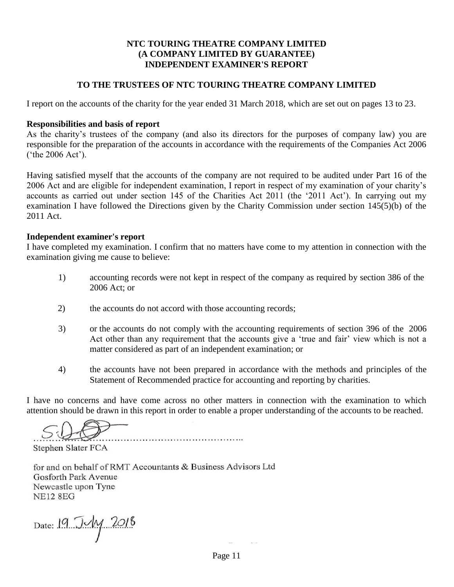### **NTC TOURING THEATRE COMPANY LIMITED (A COMPANY LIMITED BY GUARANTEE) INDEPENDENT EXAMINER'S REPORT**

### **TO THE TRUSTEES OF NTC TOURING THEATRE COMPANY LIMITED**

I report on the accounts of the charity for the year ended 31 March 2018, which are set out on pages 13 to 23.

#### **Responsibilities and basis of report**

As the charity's trustees of the company (and also its directors for the purposes of company law) you are responsible for the preparation of the accounts in accordance with the requirements of the Companies Act 2006 ('the 2006 Act').

Having satisfied myself that the accounts of the company are not required to be audited under Part 16 of the 2006 Act and are eligible for independent examination, I report in respect of my examination of your charity's accounts as carried out under section 145 of the Charities Act 2011 (the '2011 Act'). In carrying out my examination I have followed the Directions given by the Charity Commission under section 145(5)(b) of the 2011 Act.

#### **Independent examiner's report**

I have completed my examination. I confirm that no matters have come to my attention in connection with the examination giving me cause to believe:

- 1) accounting records were not kept in respect of the company as required by section 386 of the 2006 Act; or
- 2) the accounts do not accord with those accounting records;

- 3) or the accounts do not comply with the accounting requirements of section 396 of the 2006 Act other than any requirement that the accounts give a 'true and fair' view which is not a matter considered as part of an independent examination; or
- 4) the accounts have not been prepared in accordance with the methods and principles of the Statement of Recommended practice for accounting and reporting by charities.

I have no concerns and have come across no other matters in connection with the examination to which attention should be drawn in this report in order to enable a proper understanding of the accounts to be reached.

Stephen Slater FCA

for and on behalf of RMT Accountants & Business Advisors Ltd Gosforth Park Avenue Newcastle upon Tyne **NE12 8EG** 

Date: 19 July 2018

Page 11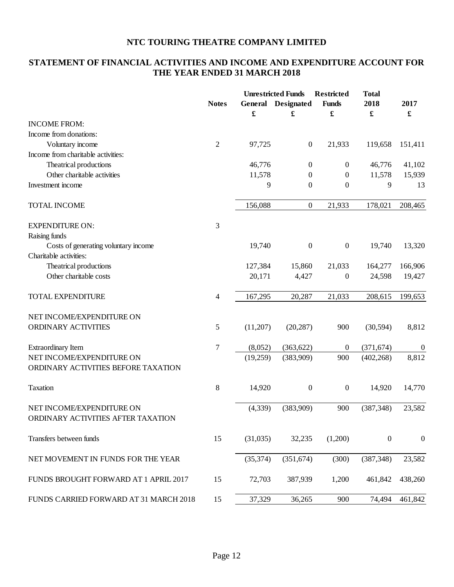# **STATEMENT OF FINANCIAL ACTIVITIES AND INCOME AND EXPENDITURE ACCOUNT FOR THE YEAR ENDED 31 MARCH 2018**

|                                                                 | <b>Notes</b>   | General<br>$\pmb{\mathfrak{L}}$ | <b>Unrestricted Funds</b><br><b>Designated</b><br>£ | <b>Restricted</b><br><b>Funds</b><br>£ | <b>Total</b><br>2018<br>$\pmb{\mathfrak{L}}$ | 2017<br>£        |
|-----------------------------------------------------------------|----------------|---------------------------------|-----------------------------------------------------|----------------------------------------|----------------------------------------------|------------------|
| <b>INCOME FROM:</b>                                             |                |                                 |                                                     |                                        |                                              |                  |
| Income from donations:                                          |                |                                 |                                                     |                                        |                                              |                  |
| Voluntary income                                                | $\mathfrak{2}$ | 97,725                          | $\boldsymbol{0}$                                    | 21,933                                 | 119,658                                      | 151,411          |
| Income from charitable activities:                              |                |                                 |                                                     |                                        |                                              |                  |
| Theatrical productions                                          |                | 46,776                          | $\overline{0}$                                      | $\boldsymbol{0}$                       | 46,776                                       | 41,102           |
| Other charitable activities                                     |                | 11,578                          | $\boldsymbol{0}$                                    | $\boldsymbol{0}$                       | 11,578                                       | 15,939           |
| Investment income                                               |                | 9                               | $\boldsymbol{0}$                                    | $\boldsymbol{0}$                       | 9                                            | 13               |
| <b>TOTAL INCOME</b>                                             |                | 156,088                         | $\boldsymbol{0}$                                    | 21,933                                 | 178,021                                      | 208,465          |
| <b>EXPENDITURE ON:</b>                                          | 3              |                                 |                                                     |                                        |                                              |                  |
| Raising funds                                                   |                |                                 |                                                     |                                        |                                              |                  |
| Costs of generating voluntary income                            |                | 19,740                          | $\boldsymbol{0}$                                    | $\boldsymbol{0}$                       | 19,740                                       | 13,320           |
| Charitable activities:                                          |                |                                 |                                                     |                                        |                                              |                  |
| Theatrical productions                                          |                | 127,384                         | 15,860                                              | 21,033                                 | 164,277                                      | 166,906          |
| Other charitable costs                                          |                | 20,171                          | 4,427                                               | 0                                      | 24,598                                       | 19,427           |
| <b>TOTAL EXPENDITURE</b>                                        | 4              | 167,295                         | 20,287                                              | 21,033                                 | 208,615                                      | 199,653          |
| NET INCOME/EXPENDITURE ON                                       |                |                                 |                                                     |                                        |                                              |                  |
| ORDINARY ACTIVITIES                                             | 5              | (11,207)                        | (20, 287)                                           | 900                                    | (30, 594)                                    | 8,812            |
| <b>Extraordinary Item</b>                                       | $\tau$         | (8,052)                         | (363, 622)                                          | $\boldsymbol{0}$                       | (371, 674)                                   | $\boldsymbol{0}$ |
| NET INCOME/EXPENDITURE ON                                       |                | (19,259)                        | (383,909)                                           | 900                                    | (402, 268)                                   | 8,812            |
| ORDINARY ACTIVITIES BEFORE TAXATION                             |                |                                 |                                                     |                                        |                                              |                  |
| <b>Taxation</b>                                                 | 8              | 14,920                          | $\boldsymbol{0}$                                    | $\boldsymbol{0}$                       | 14,920                                       | 14,770           |
| NET INCOME/EXPENDITURE ON<br>ORDINARY ACTIVITIES AFTER TAXATION |                | (4, 339)                        | (383,909)                                           | 900                                    | (387, 348)                                   | 23,582           |
| Transfers between funds                                         | 15             | (31,035)                        | 32,235                                              | (1,200)                                | $\boldsymbol{0}$                             | $\boldsymbol{0}$ |
| NET MOVEMENT IN FUNDS FOR THE YEAR                              |                | (35, 374)                       | (351, 674)                                          | (300)                                  | (387, 348)                                   | 23,582           |
| FUNDS BROUGHT FORWARD AT 1 APRIL 2017                           | 15             | 72,703                          | 387,939                                             | 1,200                                  | 461,842                                      | 438,260          |
| FUNDS CARRIED FORWARD AT 31 MARCH 2018                          | 15             | 37,329                          | 36,265                                              | 900                                    | 74,494                                       | 461,842          |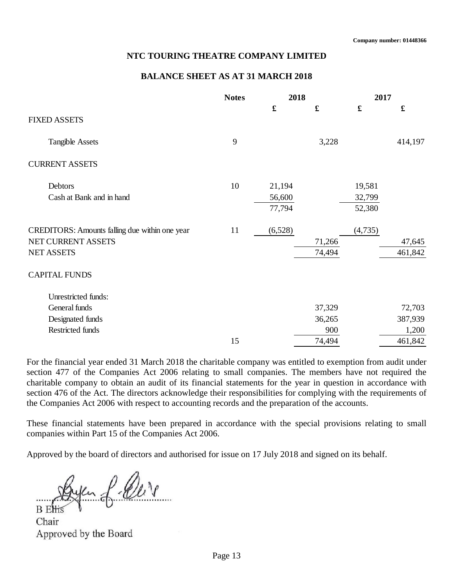#### **BALANCE SHEET AS AT 31 MARCH 2018**

|                                                | <b>Notes</b> | 2018        |             | 2017        |         |
|------------------------------------------------|--------------|-------------|-------------|-------------|---------|
| <b>FIXED ASSETS</b>                            |              | $\mathbf f$ | $\mathbf f$ | $\mathbf f$ | £       |
|                                                |              |             |             |             |         |
| <b>Tangible Assets</b>                         | 9            |             | 3,228       |             | 414,197 |
| <b>CURRENT ASSETS</b>                          |              |             |             |             |         |
| Debtors                                        | 10           | 21,194      |             | 19,581      |         |
| Cash at Bank and in hand                       |              | 56,600      |             | 32,799      |         |
|                                                |              | 77,794      |             | 52,380      |         |
| CREDITORS: Amounts falling due within one year | 11           | (6,528)     |             | (4,735)     |         |
| NET CURRENT ASSETS                             |              |             | 71,266      |             | 47,645  |
| <b>NET ASSETS</b>                              |              |             | 74,494      |             | 461,842 |
| <b>CAPITAL FUNDS</b>                           |              |             |             |             |         |
| Unrestricted funds:                            |              |             |             |             |         |
| General funds                                  |              |             | 37,329      |             | 72,703  |
| Designated funds                               |              |             | 36,265      |             | 387,939 |
| Restricted funds                               |              |             | 900         |             | 1,200   |
|                                                | 15           |             | 74,494      |             | 461,842 |

For the financial year ended 31 March 2018 the charitable company was entitled to exemption from audit under section 477 of the Companies Act 2006 relating to small companies. The members have not required the charitable company to obtain an audit of its financial statements for the year in question in accordance with section 476 of the Act. The directors acknowledge their responsibilities for complying with the requirements of the Companies Act 2006 with respect to accounting records and the preparation of the accounts.

These financial statements have been prepared in accordance with the special provisions relating to small companies within Part 15 of the Companies Act 2006.

Approved by the board of directors and authorised for issue on 17 July 2018 and signed on its behalf.

en f. Our

Chair Approved by the Board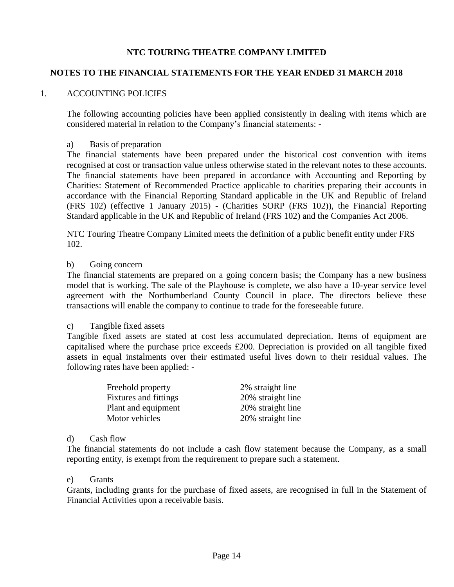## **NOTES TO THE FINANCIAL STATEMENTS FOR THE YEAR ENDED 31 MARCH 2018**

## 1. ACCOUNTING POLICIES

The following accounting policies have been applied consistently in dealing with items which are considered material in relation to the Company's financial statements: -

### a) Basis of preparation

The financial statements have been prepared under the historical cost convention with items recognised at cost or transaction value unless otherwise stated in the relevant notes to these accounts. The financial statements have been prepared in accordance with Accounting and Reporting by Charities: Statement of Recommended Practice applicable to charities preparing their accounts in accordance with the Financial Reporting Standard applicable in the UK and Republic of Ireland (FRS 102) (effective 1 January 2015) - (Charities SORP (FRS 102)), the Financial Reporting Standard applicable in the UK and Republic of Ireland (FRS 102) and the Companies Act 2006.

NTC Touring Theatre Company Limited meets the definition of a public benefit entity under FRS 102.

### b) Going concern

The financial statements are prepared on a going concern basis; the Company has a new business model that is working. The sale of the Playhouse is complete, we also have a 10-year service level agreement with the Northumberland County Council in place. The directors believe these transactions will enable the company to continue to trade for the foreseeable future.

#### c) Tangible fixed assets

Tangible fixed assets are stated at cost less accumulated depreciation. Items of equipment are capitalised where the purchase price exceeds £200. Depreciation is provided on all tangible fixed assets in equal instalments over their estimated useful lives down to their residual values. The following rates have been applied: -

| Freehold property            | 2% straight line  |
|------------------------------|-------------------|
| <b>Fixtures</b> and fittings | 20% straight line |
| Plant and equipment          | 20% straight line |
| Motor vehicles               | 20% straight line |

#### d) Cash flow

The financial statements do not include a cash flow statement because the Company, as a small reporting entity, is exempt from the requirement to prepare such a statement.

#### e) Grants

Grants, including grants for the purchase of fixed assets, are recognised in full in the Statement of Financial Activities upon a receivable basis.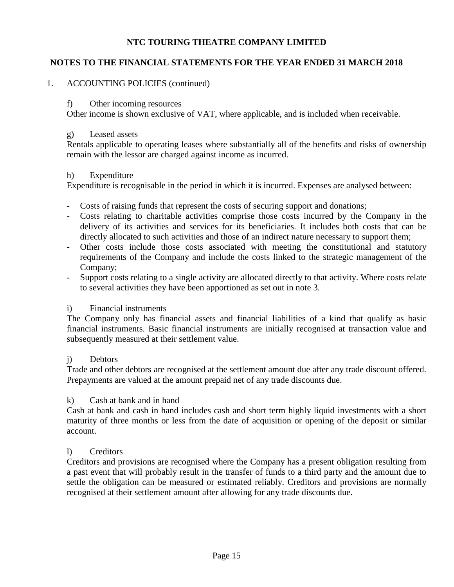## **NOTES TO THE FINANCIAL STATEMENTS FOR THE YEAR ENDED 31 MARCH 2018**

## 1. ACCOUNTING POLICIES (continued)

### f) Other incoming resources

Other income is shown exclusive of VAT, where applicable, and is included when receivable.

### g) Leased assets

Rentals applicable to operating leases where substantially all of the benefits and risks of ownership remain with the lessor are charged against income as incurred.

### h) Expenditure

Expenditure is recognisable in the period in which it is incurred. Expenses are analysed between:

- Costs of raising funds that represent the costs of securing support and donations;
- Costs relating to charitable activities comprise those costs incurred by the Company in the delivery of its activities and services for its beneficiaries. It includes both costs that can be directly allocated to such activities and those of an indirect nature necessary to support them;
- Other costs include those costs associated with meeting the constitutional and statutory requirements of the Company and include the costs linked to the strategic management of the Company;
- Support costs relating to a single activity are allocated directly to that activity. Where costs relate to several activities they have been apportioned as set out in note 3.

### i) Financial instruments

The Company only has financial assets and financial liabilities of a kind that qualify as basic financial instruments. Basic financial instruments are initially recognised at transaction value and subsequently measured at their settlement value.

### j) Debtors

Trade and other debtors are recognised at the settlement amount due after any trade discount offered. Prepayments are valued at the amount prepaid net of any trade discounts due.

### k) Cash at bank and in hand

Cash at bank and cash in hand includes cash and short term highly liquid investments with a short maturity of three months or less from the date of acquisition or opening of the deposit or similar account.

## l) Creditors

Creditors and provisions are recognised where the Company has a present obligation resulting from a past event that will probably result in the transfer of funds to a third party and the amount due to settle the obligation can be measured or estimated reliably. Creditors and provisions are normally recognised at their settlement amount after allowing for any trade discounts due.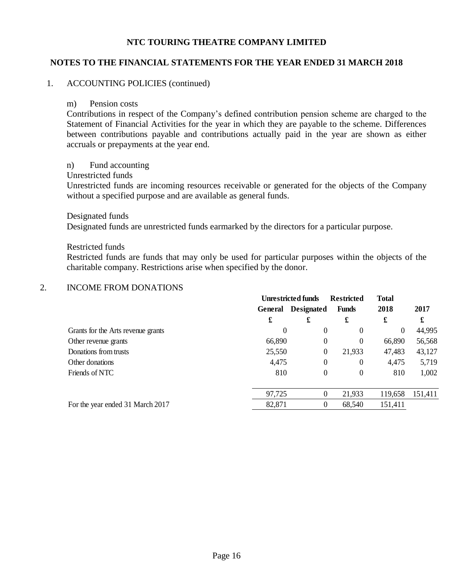### **NOTES TO THE FINANCIAL STATEMENTS FOR THE YEAR ENDED 31 MARCH 2018**

### 1. ACCOUNTING POLICIES (continued)

#### m) Pension costs

Contributions in respect of the Company's defined contribution pension scheme are charged to the Statement of Financial Activities for the year in which they are payable to the scheme. Differences between contributions payable and contributions actually paid in the year are shown as either accruals or prepayments at the year end.

#### n) Fund accounting

Unrestricted funds

Unrestricted funds are incoming resources receivable or generated for the objects of the Company without a specified purpose and are available as general funds.

#### Designated funds

Designated funds are unrestricted funds earmarked by the directors for a particular purpose.

#### Restricted funds

Restricted funds are funds that may only be used for particular purposes within the objects of the charitable company. Restrictions arise when specified by the donor.

#### 2. INCOME FROM DONATIONS

| <b>Unrestricted funds</b> |   | <b>Restricted</b>                          |                                                                                    |              |
|---------------------------|---|--------------------------------------------|------------------------------------------------------------------------------------|--------------|
| General                   |   | <b>Funds</b>                               | 2018                                                                               | 2017         |
| £                         | £ | £                                          | £                                                                                  | £            |
| 0                         |   | 0                                          | $\theta$                                                                           | 44,995       |
|                           |   | 0                                          | 66,890                                                                             | 56,568       |
|                           |   | 21,933                                     | 47,483                                                                             | 43,127       |
|                           |   | 0                                          | 4,475                                                                              | 5,719        |
|                           |   | 0                                          | 810                                                                                | 1,002        |
|                           |   | 21,933                                     | 119,658                                                                            | 151,411      |
| 82,871                    |   | 68,540                                     | 151,411                                                                            |              |
|                           |   | 66,890<br>25,550<br>4,475<br>810<br>97,725 | <b>Designated</b><br>0<br>0<br>$\boldsymbol{0}$<br>0<br>0<br>0<br>$\boldsymbol{0}$ | <b>Total</b> |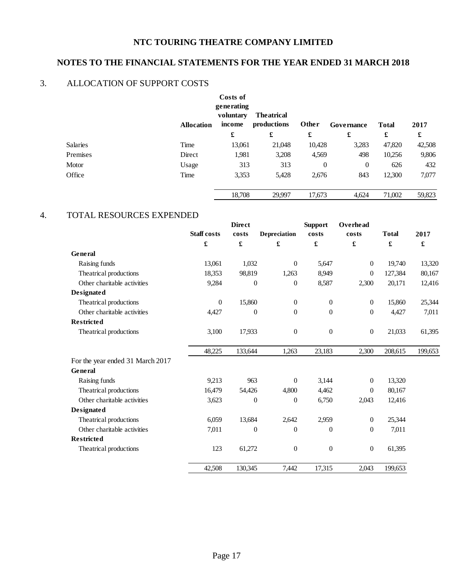# **NOTES TO THE FINANCIAL STATEMENTS FOR THE YEAR ENDED 31 MARCH 2018**

# 3. ALLOCATION OF SUPPORT COSTS

|          | <b>Allocation</b> | Costs of<br>generating<br>voluntary<br>income | <b>The atrical</b><br>productions | Other        | Governance | <b>Total</b> | 2017   |
|----------|-------------------|-----------------------------------------------|-----------------------------------|--------------|------------|--------------|--------|
|          |                   | £                                             | £                                 | £            | £          | £            | £      |
| Salaries | Time              | 13,061                                        | 21,048                            | 10,428       | 3,283      | 47,820       | 42,508 |
| Premises | Direct            | 1,981                                         | 3,208                             | 4,569        | 498        | 10,256       | 9,806  |
| Motor    | Usage             | 313                                           | 313                               | $\mathbf{0}$ | $\theta$   | 626          | 432    |
| Office   | Time              | 3,353                                         | 5,428                             | 2,676        | 843        | 12,300       | 7,077  |
|          |                   | 18,708                                        | 29,997                            | 17,673       | 4,624      | 71,002       | 59,823 |

## 4. TOTAL RESOURCES EXPENDED

|                                  | <b>Staff</b> costs | <b>Direct</b><br>costs | <b>Depreciation</b> | <b>Support</b><br>costs | Overhead<br>costs | <b>Total</b> | 2017    |
|----------------------------------|--------------------|------------------------|---------------------|-------------------------|-------------------|--------------|---------|
|                                  | £                  | $\pmb{\mathfrak{L}}$   | £                   | $\pmb{\mathfrak{L}}$    | £                 | £            | £       |
| General                          |                    |                        |                     |                         |                   |              |         |
| Raising funds                    | 13,061             | 1,032                  | $\theta$            | 5,647                   | $\overline{0}$    | 19,740       | 13,320  |
| Theatrical productions           | 18,353             | 98,819                 | 1,263               | 8,949                   | $\overline{0}$    | 127,384      | 80,167  |
| Other charitable activities      | 9,284              | $\boldsymbol{0}$       | $\mathbf{0}$        | 8,587                   | 2,300             | 20,171       | 12,416  |
| <b>Designated</b>                |                    |                        |                     |                         |                   |              |         |
| Theatrical productions           | $\theta$           | 15,860                 | $\theta$            | $\mathbf{0}$            | $\overline{0}$    | 15,860       | 25,344  |
| Other charitable activities      | 4,427              | $\boldsymbol{0}$       | $\boldsymbol{0}$    | $\boldsymbol{0}$        | $\boldsymbol{0}$  | 4,427        |         |
| <b>Restricted</b>                |                    |                        |                     |                         |                   |              |         |
| Theatrical productions           | 3,100              | 17,933                 | $\overline{0}$      | $\boldsymbol{0}$        | $\boldsymbol{0}$  | 21,033       | 61,395  |
|                                  | 48,225             | 133,644                | 1,263               | 23,183                  | 2,300             | 208,615      | 199,653 |
| For the year ended 31 March 2017 |                    |                        |                     |                         |                   |              |         |
| General                          |                    |                        |                     |                         |                   |              |         |
| Raising funds                    | 9,213              | 963                    | $\Omega$            | 3,144                   | $\Omega$          | 13,320       |         |
| Theatrical productions           | 16,479             | 54,426                 | 4,800               | 4,462                   | $\Omega$          | 80,167       |         |
| Other charitable activities      | 3,623              | $\boldsymbol{0}$       | $\overline{0}$      | 6,750                   | 2,043             | 12,416       |         |
| <b>Designated</b>                |                    |                        |                     |                         |                   |              |         |
| Theatrical productions           | 6,059              | 13,684                 | 2,642               | 2,959                   | $\boldsymbol{0}$  | 25,344       |         |
| Other charitable activities      | 7,011              | $\theta$               | $\Omega$            | $\theta$                | $\overline{0}$    | 7,011        |         |
| <b>Restricted</b>                |                    |                        |                     |                         |                   |              |         |
| Theatrical productions           | 123                | 61,272                 | $\boldsymbol{0}$    | $\boldsymbol{0}$        | $\boldsymbol{0}$  | 61,395       |         |
|                                  | 42,508             | 130,345                | 7,442               | 17,315                  | 2,043             | 199,653      |         |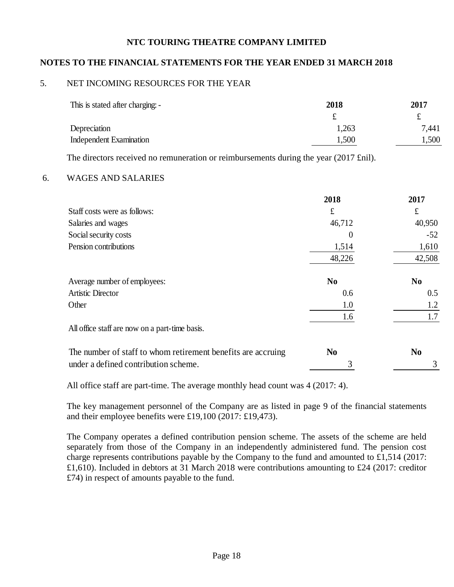### **NOTES TO THE FINANCIAL STATEMENTS FOR THE YEAR ENDED 31 MARCH 2018**

### 5. NET INCOMING RESOURCES FOR THE YEAR

| This is stated after charging: - | 2018  | 2017  |
|----------------------------------|-------|-------|
|                                  |       | £     |
| Depreciation                     | 1,263 | 7,441 |
| Independent Examination          | 1.500 | 1,500 |

The directors received no remuneration or reimbursements during the year (2017 £nil).

#### 6. WAGES AND SALARIES

|                                                              | 2018           | 2017           |
|--------------------------------------------------------------|----------------|----------------|
| Staff costs were as follows:                                 | £              | £              |
| Salaries and wages                                           | 46,712         | 40,950         |
| Social security costs                                        | $\theta$       | $-52$          |
| Pension contributions                                        | 1,514          | 1,610          |
|                                                              | 48,226         | 42,508         |
| Average number of employees:                                 | N <sub>0</sub> | N <sub>0</sub> |
| <b>Artistic Director</b>                                     | 0.6            | 0.5            |
| Other                                                        | 1.0            | 1.2            |
|                                                              | 1.6            | 1.7            |
| All office staff are now on a part-time basis.               |                |                |
| The number of staff to whom retirement benefits are accruing | N <sub>0</sub> | N <sub>0</sub> |
| under a defined contribution scheme.                         | 3              | 3              |

All office staff are part-time. The average monthly head count was 4 (2017: 4).

The key management personnel of the Company are as listed in page 9 of the financial statements and their employee benefits were £19,100 (2017: £19,473).

The Company operates a defined contribution pension scheme. The assets of the scheme are held separately from those of the Company in an independently administered fund. The pension cost charge represents contributions payable by the Company to the fund and amounted to £1,514 (2017: £1,610). Included in debtors at 31 March 2018 were contributions amounting to £24 (2017: creditor £74) in respect of amounts payable to the fund.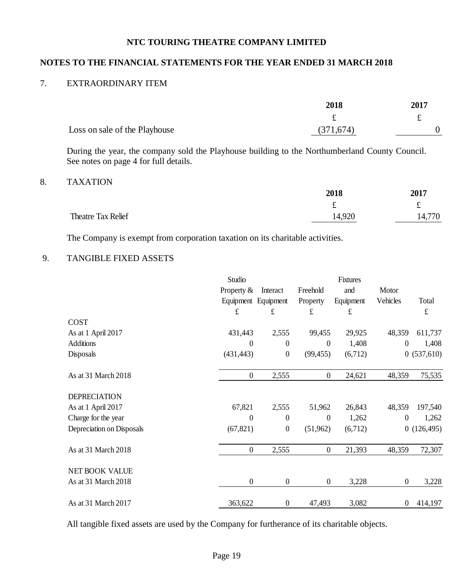# **NOTES TO THE FINANCIAL STATEMENTS FOR THE YEAR ENDED 31 MARCH 2018**

### 7. EXTRAORDINARY ITEM

|                               | 2018      | 2017 |
|-------------------------------|-----------|------|
|                               |           |      |
| Loss on sale of the Playhouse | (371,674) |      |

During the year, the company sold the Playhouse building to the Northumberland County Council. See notes on page 4 for full details.

### 8. TAXATION

|                    | 2018   | 2017   |  |
|--------------------|--------|--------|--|
|                    | ۰.     | £      |  |
| Theatre Tax Relief | 14,920 | 14,770 |  |

The Company is exempt from corporation taxation on its charitable activities.

## 9. TANGIBLE FIXED ASSETS

|                           | Studio              |                  |                  | Fixtures  |                  |            |
|---------------------------|---------------------|------------------|------------------|-----------|------------------|------------|
|                           | Property $&$        | Interact         | Freehold         | and       | Motor            |            |
|                           | Equipment Equipment |                  | Property         | Equipment | Vehicles         | Total      |
|                           | £                   | £                | $\mathbf f$      | £         |                  | £          |
| COST                      |                     |                  |                  |           |                  |            |
| As at 1 April 2017        | 431,443             | 2,555            | 99,455           | 29,925    | 48,359           | 611,737    |
| <b>Additions</b>          | $\theta$            | $\overline{0}$   | $\boldsymbol{0}$ | 1,408     | $\boldsymbol{0}$ | 1,408      |
| Disposals                 | (431, 443)          | $\boldsymbol{0}$ | (99, 455)        | (6,712)   |                  | 0(537,610) |
| As at 31 March 2018       | $\boldsymbol{0}$    | 2,555            | $\boldsymbol{0}$ | 24,621    | 48,359           | 75,535     |
| <b>DEPRECIATION</b>       |                     |                  |                  |           |                  |            |
| As at 1 April 2017        | 67,821              | 2,555            | 51,962           | 26,843    | 48,359           | 197,540    |
| Charge for the year       | $\boldsymbol{0}$    | $\boldsymbol{0}$ | $\boldsymbol{0}$ | 1,262     | $\boldsymbol{0}$ | 1,262      |
| Depreciation on Disposals | (67, 821)           | $\boldsymbol{0}$ | (51, 962)        | (6,712)   |                  | 0(126,495) |
| As at 31 March 2018       | $\boldsymbol{0}$    | 2,555            | $\boldsymbol{0}$ | 21,393    | 48,359           | 72,307     |
| NET BOOK VALUE            |                     |                  |                  |           |                  |            |
| As at 31 March 2018       | $\boldsymbol{0}$    | $\boldsymbol{0}$ | $\boldsymbol{0}$ | 3,228     | $\boldsymbol{0}$ | 3,228      |
| As at 31 March 2017       | 363,622             | $\boldsymbol{0}$ | 47,493           | 3,082     | $\boldsymbol{0}$ | 414,197    |

All tangible fixed assets are used by the Company for furtherance of its charitable objects.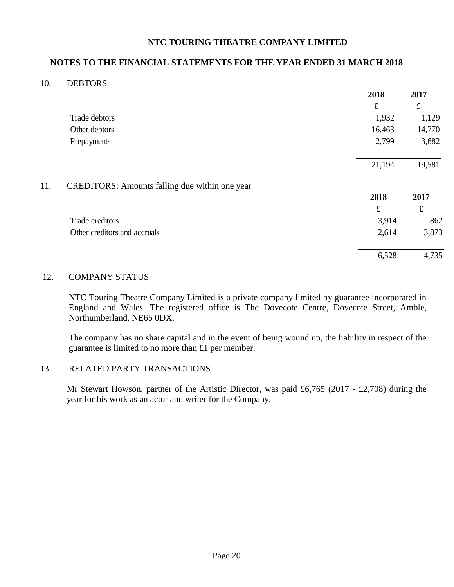### **NOTES TO THE FINANCIAL STATEMENTS FOR THE YEAR ENDED 31 MARCH 2018**

### 10. DEBTORS

|     |                                                       | 2018      | 2017      |
|-----|-------------------------------------------------------|-----------|-----------|
|     |                                                       | $\pounds$ | $\pounds$ |
|     | Trade debtors                                         | 1,932     | 1,129     |
|     | Other debtors                                         | 16,463    | 14,770    |
|     | Prepayments                                           | 2,799     | 3,682     |
|     |                                                       | 21,194    | 19,581    |
| 11. | <b>CREDITORS:</b> Amounts falling due within one year |           |           |
|     |                                                       | 2018      | 2017      |
|     |                                                       | ${\bf f}$ | $\pounds$ |
|     | Trade creditors                                       | 3,914     | 862       |
|     | Other creditors and accruals                          | 2,614     | 3,873     |
|     |                                                       | 6,528     | 4,735     |
|     |                                                       |           |           |

### 12. COMPANY STATUS

NTC Touring Theatre Company Limited is a private company limited by guarantee incorporated in England and Wales. The registered office is The Dovecote Centre, Dovecote Street, Amble, Northumberland, NE65 0DX.

The company has no share capital and in the event of being wound up, the liability in respect of the guarantee is limited to no more than £1 per member.

### 13. RELATED PARTY TRANSACTIONS

Mr Stewart Howson, partner of the Artistic Director, was paid £6,765 (2017 - £2,708) during the year for his work as an actor and writer for the Company.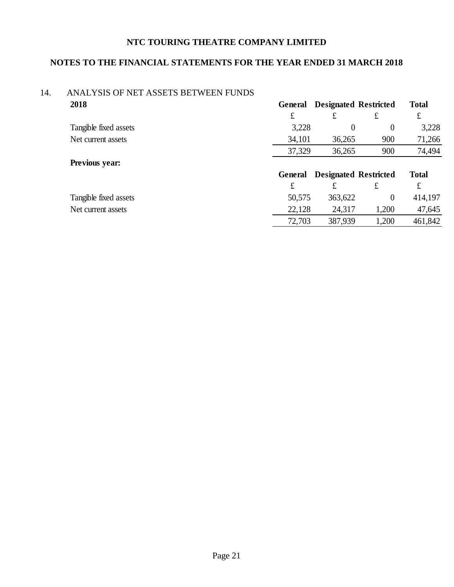# **NOTES TO THE FINANCIAL STATEMENTS FOR THE YEAR ENDED 31 MARCH 2018**

### 14. ANALYSIS OF NET ASSETS BETWEEN FUNDS **2018 General Designated Restricted Total**

|                       | £       | £                            | £     | £       |  |
|-----------------------|---------|------------------------------|-------|---------|--|
| Tangible fixed assets | 3,228   |                              | 0     | 3,228   |  |
| Net current assets    | 34,101  | 36,265                       | 900   | 71,266  |  |
|                       | 37,329  | 36,265                       | 900   | 74,494  |  |
| Previous year:        |         |                              |       |         |  |
|                       | General | <b>Designated Restricted</b> |       |         |  |
|                       | £       | £                            | £     | £       |  |
| Tangible fixed assets | 50,575  | 363,622                      | 0     | 414,197 |  |
| Net current assets    | 22,128  | 24,317                       | 1,200 | 47,645  |  |
|                       | 72,703  | 387,939                      | 1,200 | 461,842 |  |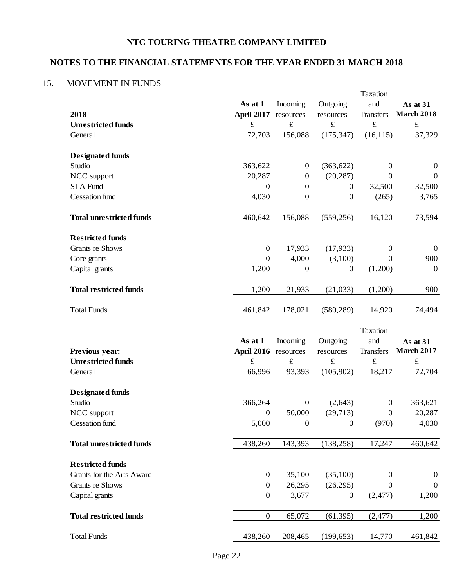# **NOTES TO THE FINANCIAL STATEMENTS FOR THE YEAR ENDED 31 MARCH 2018**

# 15. MOVEMENT IN FUNDS

|                                 |                      |                  |                  | Taxation         |                   |
|---------------------------------|----------------------|------------------|------------------|------------------|-------------------|
|                                 | As at 1              | Incoming         | Outgoing         | and              | As at 31          |
| 2018                            | <b>April 2017</b>    | resources        | resources        | <b>Transfers</b> | <b>March 2018</b> |
| <b>Unrestricted funds</b>       | $\pounds$            | $\pounds$        | $\pounds$        | $\pounds$        | $\pounds$         |
| General                         | 72,703               | 156,088          | (175, 347)       | (16, 115)        | 37,329            |
| <b>Designated funds</b>         |                      |                  |                  |                  |                   |
| Studio                          | 363,622              | $\boldsymbol{0}$ | (363, 622)       | $\boldsymbol{0}$ | $\boldsymbol{0}$  |
| NCC support                     | 20,287               | $\boldsymbol{0}$ | (20, 287)        | $\mathbf{0}$     | $\boldsymbol{0}$  |
| <b>SLA Fund</b>                 | $\boldsymbol{0}$     | $\boldsymbol{0}$ | $\boldsymbol{0}$ | 32,500           | 32,500            |
| <b>Cessation</b> fund           | 4,030                | $\boldsymbol{0}$ | $\mathbf{0}$     | (265)            | 3,765             |
| <b>Total unrestricted funds</b> | 460,642              | 156,088          | (559, 256)       | 16,120           | 73,594            |
| <b>Restricted funds</b>         |                      |                  |                  |                  |                   |
| <b>Grants re Shows</b>          | $\boldsymbol{0}$     | 17,933           | (17,933)         | $\boldsymbol{0}$ | $\boldsymbol{0}$  |
| Core grants                     | $\boldsymbol{0}$     | 4,000            | (3,100)          | $\Omega$         | 900               |
| Capital grants                  | 1,200                | $\boldsymbol{0}$ | $\boldsymbol{0}$ | (1,200)          | $\boldsymbol{0}$  |
| <b>Total restricted funds</b>   | 1,200                | 21,933           | (21,033)         | (1,200)          | 900               |
| <b>Total Funds</b>              | 461,842              | 178,021          | (580, 289)       | 14,920           | 74,494            |
|                                 |                      |                  |                  | Taxation         |                   |
|                                 | As at 1              | Incoming         | Outgoing         | and              | As at 31          |
| Previous year:                  | April 2016 resources |                  | resources        | <b>Transfers</b> | <b>March 2017</b> |
| <b>Unrestricted funds</b>       | $\pounds$            | $\pounds$        | $\pounds$        | $\pounds$        | $\pounds$         |
| General                         | 66,996               | 93,393           | (105,902)        | 18,217           | 72,704            |
| <b>Designated funds</b>         |                      |                  |                  |                  |                   |
| Studio                          | 366,264              | $\boldsymbol{0}$ | (2,643)          | $\boldsymbol{0}$ | 363,621           |
| NCC support                     | $\boldsymbol{0}$     | 50,000           | (29,713)         | $\boldsymbol{0}$ | 20,287            |
| <b>Cessation</b> fund           | 5,000                | $\boldsymbol{0}$ | $\boldsymbol{0}$ | (970)            | 4,030             |
| <b>Total unrestricted funds</b> | 438,260              | 143,393          | (138, 258)       | 17,247           | 460,642           |
| <b>Restricted funds</b>         |                      |                  |                  |                  |                   |
| Grants for the Arts Award       | $\boldsymbol{0}$     | 35,100           | (35,100)         | $\boldsymbol{0}$ | $\boldsymbol{0}$  |
| <b>Grants re Shows</b>          | $\boldsymbol{0}$     | 26,295           | (26, 295)        | $\mathbf{0}$     | $\boldsymbol{0}$  |
| Capital grants                  | $\boldsymbol{0}$     | 3,677            | $\boldsymbol{0}$ | (2,477)          | 1,200             |
| <b>Total restricted funds</b>   | $\boldsymbol{0}$     | 65,072           | (61, 395)        | (2, 477)         | 1,200             |
|                                 |                      |                  |                  |                  |                   |